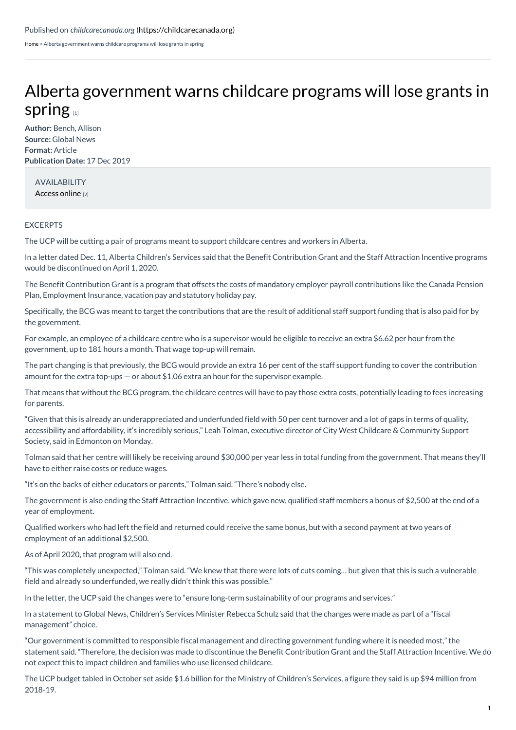[Home](https://childcarecanada.org/) > Alberta government warns childcare programs will lose grants in spring

## Alberta [government](https://childcarecanada.org/documents/child-care-news/19/12/alberta-government-warns-childcare-programs-will-lose-grants-spring) warns childcare programs will lose grants in spring  $n_1$

**Author:** Bench, Allison **Source:** Global News **Format:** Article **Publication Date:** 17 Dec 2019

AVAILABILITY [Access](https://globalnews.ca/news/6304093/alberta-government-cuts-child-care-wage-grants/) online [2]

## **EXCERPTS**

The UCP will be cutting a pair of programs meant to support childcare centres and workers in Alberta.

In a letter dated Dec. 11, Alberta Children's Services said that the Benefit Contribution Grant and the Staff Attraction Incentive programs would be discontinued on April 1, 2020.

The Benefit Contribution Grant is a program that offsets the costs of mandatory employer payroll contributions like the Canada Pension Plan, Employment Insurance, vacation pay and statutory holiday pay.

Specifically, the BCG was meant to target the contributions that are the result of additional staff support funding that is also paid for by the government.

For example, an employee of a childcare centre who is a supervisor would be eligible to receive an extra \$6.62 per hour from the government, up to 181 hours a month. That wage top-up will remain.

The part changing is that previously, the BCG would provide an extra 16 per cent of the staff support funding to cover the contribution amount for the extra top-ups — or about \$1.06 extra an hour for the supervisor example.

That means that without the BCG program, the childcare centres will have to pay those extra costs, potentially leading to fees increasing for parents.

"Given that this is already an underappreciated and underfunded field with 50 per cent turnover and a lot of gaps in terms of quality, accessibility and affordability, it's incredibly serious," Leah Tolman, executive director of City West Childcare & Community Support Society, said in Edmonton on Monday.

Tolman said that her centre will likely be receiving around \$30,000 per year less in total funding from the government. That means they'll have to either raise costs or reduce wages.

"It's on the backs of either educators or parents," Tolman said. "There's nobody else.

The government is also ending the Staff Attraction Incentive, which gave new, qualified staff members a bonus of \$2,500 at the end of a year of employment.

Qualified workers who had left the field and returned could receive the same bonus, but with a second payment at two years of employment of an additional \$2,500.

As of April 2020, that program will also end.

"This was completely unexpected," Tolman said. "We knew that there were lots of cuts coming… but given that this is such a vulnerable field and already so underfunded, we really didn't think this was possible."

In the letter, the UCP said the changes were to "ensure long-term sustainability of our programs and services."

In a statement to Global News, Children's Services Minister Rebecca Schulz said that the changes were made as part of a "fiscal management" choice.

"Our government is committed to responsible fiscal management and directing government funding where it is needed most," the statement said. "Therefore, the decision was made to discontinue the Benefit Contribution Grant and the Staff Attraction Incentive. We do not expect this to impact children and families who use licensed childcare.

The UCP budget tabled in October set aside \$1.6 billion for the Ministry of Children's Services, a figure they said is up \$94 million from 2018-19.